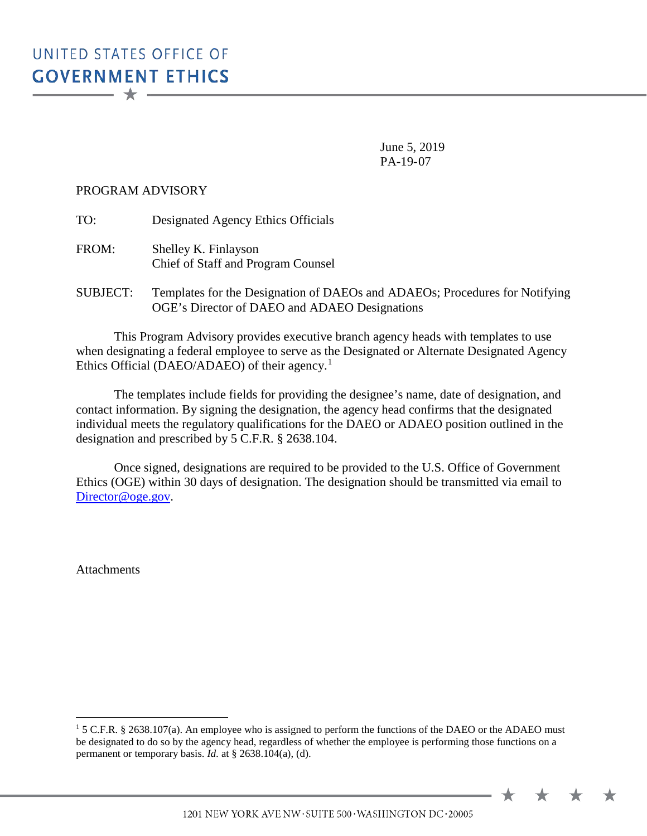June 5, 2019 PA-19-07

## PROGRAM ADVISORY

TO: Designated Agency Ethics Officials

 FROM: Shelley K. Finlayson Chief of Staff and Program Counsel

SUBJECT: Templates for the Designation of DAEOs and ADAEOs; Procedures for Notifying OGE's Director of DAEO and ADAEO Designations

Ethics Official (DAEO/ADAEO) of their agency.<sup>[1](#page-0-0)</sup> This Program Advisory provides executive branch agency heads with templates to use when designating a federal employee to serve as the Designated or Alternate Designated Agency

The templates include fields for providing the designee's name, date of designation, and contact information. By signing the designation, the agency head confirms that the designated individual meets the regulatory qualifications for the DAEO or ADAEO position outlined in the designation and prescribed by 5 C.F.R. § 2638.104.

 Once signed, designations are required to be provided to the U.S. Office of Government Ethics (OGE) within 30 days of designation. The designation should be transmitted via email to [Director@oge.gov.](mailto:Director@oge.gov)

Attachments

 $\overline{a}$ 

1201 NEW YORK AVE NW · SUITE 500 · WASHINGTON DC · 20005

<span id="page-0-0"></span> $15$  C.F.R. § 2638.107(a). An employee who is assigned to perform the functions of the DAEO or the ADAEO must be designated to do so by the agency head, regardless of whether the employee is performing those functions on a permanent or temporary basis. *Id.* at § 2638.104(a), (d).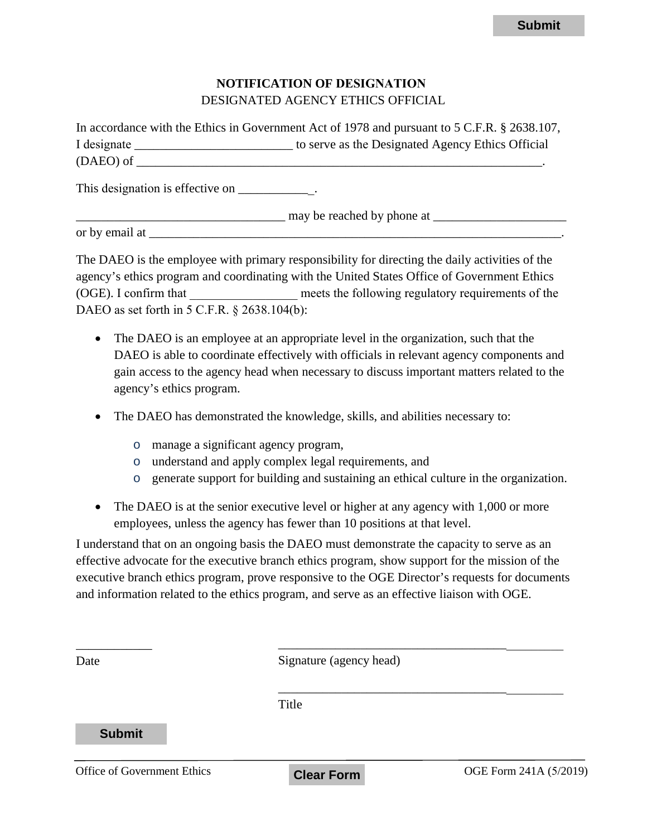## **NOTIFICATION OF DESIGNATION** DESIGNATED AGENCY ETHICS OFFICIAL

|             | In accordance with the Ethics in Government Act of 1978 and pursuant to 5 C.F.R. § 2638.107, |
|-------------|----------------------------------------------------------------------------------------------|
| I designate | to serve as the Designated Agency Ethics Official                                            |
| (DAEO) of   |                                                                                              |

- The DAEO is an employee at an appropriate level in the organization, such that the DAEO is able to coordinate effectively with officials in relevant agency components and gain access to the agency head when necessary to discuss important matters related to the agency's ethics program.
- The DAEO has demonstrated the knowledge, skills, and abilities necessary to:
	- o manage a significant agency program,
	- o understand and apply complex legal requirements, and
	- o generate support for building and sustaining an ethical culture in the organization.
- The DAEO is at the senior executive level or higher at any agency with 1,000 or more employees, unless the agency has fewer than 10 positions at that level.

|                                                                                                                                                                                                                                                                                                                                                                                                |                                                                         | <b>Submit</b>                                                                                                                                                                        |
|------------------------------------------------------------------------------------------------------------------------------------------------------------------------------------------------------------------------------------------------------------------------------------------------------------------------------------------------------------------------------------------------|-------------------------------------------------------------------------|--------------------------------------------------------------------------------------------------------------------------------------------------------------------------------------|
|                                                                                                                                                                                                                                                                                                                                                                                                |                                                                         |                                                                                                                                                                                      |
|                                                                                                                                                                                                                                                                                                                                                                                                | <b>NOTIFICATION OF DESIGNATION</b><br>DESIGNATED AGENCY ETHICS OFFICIAL |                                                                                                                                                                                      |
| In accordance with the Ethics in Government Act of 1978 and pursuant to 5 C.F.R. § 2638.107,<br>I designate _____________________________ to serve as the Designated Agency Ethics Official                                                                                                                                                                                                    |                                                                         |                                                                                                                                                                                      |
| This designation is effective on _______________.                                                                                                                                                                                                                                                                                                                                              |                                                                         |                                                                                                                                                                                      |
|                                                                                                                                                                                                                                                                                                                                                                                                |                                                                         |                                                                                                                                                                                      |
|                                                                                                                                                                                                                                                                                                                                                                                                |                                                                         |                                                                                                                                                                                      |
| The DAEO is the employee with primary responsibility for directing the daily activities of the<br>agency's ethics program and coordinating with the United States Office of Government Ethics<br>(OGE). I confirm that<br>DAEO as set forth in 5 C.F.R. § 2638.104(b):                                                                                                                         |                                                                         | meets the following regulatory requirements of the                                                                                                                                   |
| The DAEO is an employee at an appropriate level in the organization, such that the<br>agency's ethics program.                                                                                                                                                                                                                                                                                 |                                                                         | DAEO is able to coordinate effectively with officials in relevant agency components and<br>gain access to the agency head when necessary to discuss important matters related to the |
| The DAEO has demonstrated the knowledge, skills, and abilities necessary to:<br>$\bullet$                                                                                                                                                                                                                                                                                                      |                                                                         |                                                                                                                                                                                      |
| manage a significant agency program,<br>$\circ$<br>$\circ$<br>$\circ$                                                                                                                                                                                                                                                                                                                          | understand and apply complex legal requirements, and                    | generate support for building and sustaining an ethical culture in the organization.                                                                                                 |
| The DAEO is at the senior executive level or higher at any agency with 1,000 or more<br>employees, unless the agency has fewer than 10 positions at that level.                                                                                                                                                                                                                                |                                                                         |                                                                                                                                                                                      |
| I understand that on an ongoing basis the DAEO must demonstrate the capacity to serve as an<br>effective advocate for the executive branch ethics program, show support for the mission of the<br>executive branch ethics program, prove responsive to the OGE Director's requests for documents<br>and information related to the ethics program, and serve as an effective liaison with OGE. |                                                                         |                                                                                                                                                                                      |
| Date                                                                                                                                                                                                                                                                                                                                                                                           | Signature (agency head)                                                 |                                                                                                                                                                                      |
|                                                                                                                                                                                                                                                                                                                                                                                                | Title                                                                   |                                                                                                                                                                                      |
| <b>Submit</b>                                                                                                                                                                                                                                                                                                                                                                                  |                                                                         |                                                                                                                                                                                      |
| Office of Government Ethics                                                                                                                                                                                                                                                                                                                                                                    | <b>Clear Form</b>                                                       | OGE Form 241A (5/2019)                                                                                                                                                               |